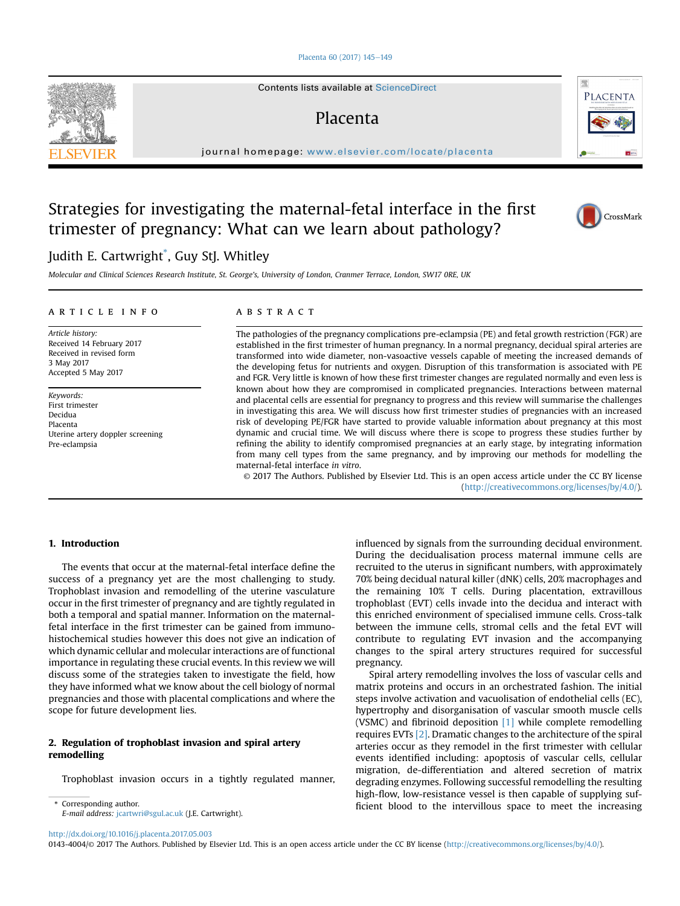### [Placenta 60 \(2017\) 145](http://dx.doi.org/10.1016/j.placenta.2017.05.003)-[149](http://dx.doi.org/10.1016/j.placenta.2017.05.003)

Contents lists available at ScienceDirect

## Placenta

journal homepage: [www.elsevier.com/locate/placenta](http://www.elsevier.com/locate/placenta)

# Strategies for investigating the maternal-fetal interface in the first trimester of pregnancy: What can we learn about pathology?

## Judith E. Cartwright\* , Guy StJ. Whitley

Molecular and Clinical Sciences Research Institute, St. George's, University of London, Cranmer Terrace, London, SW17 0RE, UK

#### article info

Article history: Received 14 February 2017 Received in revised form 3 May 2017 Accepted 5 May 2017

Keywords: First trimester Decidua Placenta Uterine artery doppler screening Pre-eclampsia

## **ABSTRACT**

The pathologies of the pregnancy complications pre-eclampsia (PE) and fetal growth restriction (FGR) are established in the first trimester of human pregnancy. In a normal pregnancy, decidual spiral arteries are transformed into wide diameter, non-vasoactive vessels capable of meeting the increased demands of the developing fetus for nutrients and oxygen. Disruption of this transformation is associated with PE and FGR. Very little is known of how these first trimester changes are regulated normally and even less is known about how they are compromised in complicated pregnancies. Interactions between maternal and placental cells are essential for pregnancy to progress and this review will summarise the challenges in investigating this area. We will discuss how first trimester studies of pregnancies with an increased risk of developing PE/FGR have started to provide valuable information about pregnancy at this most dynamic and crucial time. We will discuss where there is scope to progress these studies further by refining the ability to identify compromised pregnancies at an early stage, by integrating information from many cell types from the same pregnancy, and by improving our methods for modelling the maternal-fetal interface in vitro.

© 2017 The Authors. Published by Elsevier Ltd. This is an open access article under the CC BY license [\(http://creativecommons.org/licenses/by/4.0/](http://creativecommons.org/licenses/by/4.0/)).

### 1. Introduction

The events that occur at the maternal-fetal interface define the success of a pregnancy yet are the most challenging to study. Trophoblast invasion and remodelling of the uterine vasculature occur in the first trimester of pregnancy and are tightly regulated in both a temporal and spatial manner. Information on the maternalfetal interface in the first trimester can be gained from immunohistochemical studies however this does not give an indication of which dynamic cellular and molecular interactions are of functional importance in regulating these crucial events. In this review we will discuss some of the strategies taken to investigate the field, how they have informed what we know about the cell biology of normal pregnancies and those with placental complications and where the scope for future development lies.

## 2. Regulation of trophoblast invasion and spiral artery remodelling

Trophoblast invasion occurs in a tightly regulated manner,

E-mail address: [jcartwri@sgul.ac.uk](mailto:jcartwri@sgul.ac.uk) (J.E. Cartwright).

influenced by signals from the surrounding decidual environment. During the decidualisation process maternal immune cells are recruited to the uterus in significant numbers, with approximately 70% being decidual natural killer (dNK) cells, 20% macrophages and the remaining 10% T cells. During placentation, extravillous trophoblast (EVT) cells invade into the decidua and interact with this enriched environment of specialised immune cells. Cross-talk between the immune cells, stromal cells and the fetal EVT will contribute to regulating EVT invasion and the accompanying changes to the spiral artery structures required for successful pregnancy.

Spiral artery remodelling involves the loss of vascular cells and matrix proteins and occurs in an orchestrated fashion. The initial steps involve activation and vacuolisation of endothelial cells (EC), hypertrophy and disorganisation of vascular smooth muscle cells (VSMC) and fibrinoid deposition [\[1\]](#page-3-0) while complete remodelling requires EVTs [\[2\].](#page-3-0) Dramatic changes to the architecture of the spiral arteries occur as they remodel in the first trimester with cellular events identified including: apoptosis of vascular cells, cellular migration, de-differentiation and altered secretion of matrix degrading enzymes. Following successful remodelling the resulting high-flow, low-resistance vessel is then capable of supplying suf-Corresponding author. The intervillous space to meet the increasing the intervillous space to meet the increasing

<http://dx.doi.org/10.1016/j.placenta.2017.05.003>





PLACENTA

澜



<sup>0143-4004/</sup>© 2017 The Authors. Published by Elsevier Ltd. This is an open access article under the CC BY license (<http://creativecommons.org/licenses/by/4.0/>).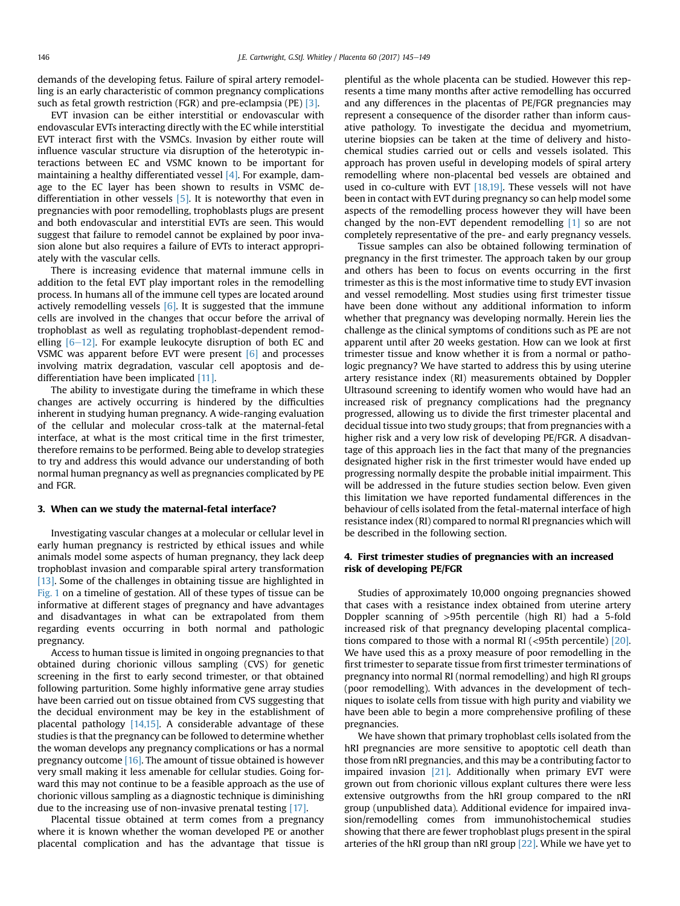demands of the developing fetus. Failure of spiral artery remodelling is an early characteristic of common pregnancy complications such as fetal growth restriction (FGR) and pre-eclampsia (PE) [\[3\]](#page-3-0).

EVT invasion can be either interstitial or endovascular with endovascular EVTs interacting directly with the EC while interstitial EVT interact first with the VSMCs. Invasion by either route will influence vascular structure via disruption of the heterotypic interactions between EC and VSMC known to be important for maintaining a healthy differentiated vessel [\[4\]](#page-3-0). For example, damage to the EC layer has been shown to results in VSMC dedifferentiation in other vessels [\[5\]](#page-3-0). It is noteworthy that even in pregnancies with poor remodelling, trophoblasts plugs are present and both endovascular and interstitial EVTs are seen. This would suggest that failure to remodel cannot be explained by poor invasion alone but also requires a failure of EVTs to interact appropriately with the vascular cells.

There is increasing evidence that maternal immune cells in addition to the fetal EVT play important roles in the remodelling process. In humans all of the immune cell types are located around actively remodelling vessels  $[6]$ . It is suggested that the immune cells are involved in the changes that occur before the arrival of trophoblast as well as regulating trophoblast-dependent remodelling  $[6-12]$  $[6-12]$  $[6-12]$ . For example leukocyte disruption of both EC and VSMC was apparent before EVT were present  $[6]$  and processes involving matrix degradation, vascular cell apoptosis and dedifferentiation have been implicated [\[11\].](#page-3-0)

The ability to investigate during the timeframe in which these changes are actively occurring is hindered by the difficulties inherent in studying human pregnancy. A wide-ranging evaluation of the cellular and molecular cross-talk at the maternal-fetal interface, at what is the most critical time in the first trimester, therefore remains to be performed. Being able to develop strategies to try and address this would advance our understanding of both normal human pregnancy as well as pregnancies complicated by PE and FGR.

#### 3. When can we study the maternal-fetal interface?

Investigating vascular changes at a molecular or cellular level in early human pregnancy is restricted by ethical issues and while animals model some aspects of human pregnancy, they lack deep trophoblast invasion and comparable spiral artery transformation [\[13\].](#page-3-0) Some of the challenges in obtaining tissue are highlighted in [Fig. 1](#page-2-0) on a timeline of gestation. All of these types of tissue can be informative at different stages of pregnancy and have advantages and disadvantages in what can be extrapolated from them regarding events occurring in both normal and pathologic pregnancy.

Access to human tissue is limited in ongoing pregnancies to that obtained during chorionic villous sampling (CVS) for genetic screening in the first to early second trimester, or that obtained following parturition. Some highly informative gene array studies have been carried out on tissue obtained from CVS suggesting that the decidual environment may be key in the establishment of placental pathology  $[14,15]$ . A considerable advantage of these studies is that the pregnancy can be followed to determine whether the woman develops any pregnancy complications or has a normal pregnancy outcome  $[16]$ . The amount of tissue obtained is however very small making it less amenable for cellular studies. Going forward this may not continue to be a feasible approach as the use of chorionic villous sampling as a diagnostic technique is diminishing due to the increasing use of non-invasive prenatal testing [\[17\]](#page-3-0).

Placental tissue obtained at term comes from a pregnancy where it is known whether the woman developed PE or another placental complication and has the advantage that tissue is plentiful as the whole placenta can be studied. However this represents a time many months after active remodelling has occurred and any differences in the placentas of PE/FGR pregnancies may represent a consequence of the disorder rather than inform causative pathology. To investigate the decidua and myometrium, uterine biopsies can be taken at the time of delivery and histochemical studies carried out or cells and vessels isolated. This approach has proven useful in developing models of spiral artery remodelling where non-placental bed vessels are obtained and used in co-culture with EVT [\[18,19\]](#page-3-0). These vessels will not have been in contact with EVT during pregnancy so can help model some aspects of the remodelling process however they will have been changed by the non-EVT dependent remodelling [\[1\]](#page-3-0) so are not completely representative of the pre- and early pregnancy vessels.

Tissue samples can also be obtained following termination of pregnancy in the first trimester. The approach taken by our group and others has been to focus on events occurring in the first trimester as this is the most informative time to study EVT invasion and vessel remodelling. Most studies using first trimester tissue have been done without any additional information to inform whether that pregnancy was developing normally. Herein lies the challenge as the clinical symptoms of conditions such as PE are not apparent until after 20 weeks gestation. How can we look at first trimester tissue and know whether it is from a normal or pathologic pregnancy? We have started to address this by using uterine artery resistance index (RI) measurements obtained by Doppler Ultrasound screening to identify women who would have had an increased risk of pregnancy complications had the pregnancy progressed, allowing us to divide the first trimester placental and decidual tissue into two study groups; that from pregnancies with a higher risk and a very low risk of developing PE/FGR. A disadvantage of this approach lies in the fact that many of the pregnancies designated higher risk in the first trimester would have ended up progressing normally despite the probable initial impairment. This will be addressed in the future studies section below. Even given this limitation we have reported fundamental differences in the behaviour of cells isolated from the fetal-maternal interface of high resistance index (RI) compared to normal RI pregnancies which will be described in the following section.

## 4. First trimester studies of pregnancies with an increased risk of developing PE/FGR

Studies of approximately 10,000 ongoing pregnancies showed that cases with a resistance index obtained from uterine artery Doppler scanning of >95th percentile (high RI) had a 5-fold increased risk of that pregnancy developing placental complications compared to those with a normal RI (<95th percentile) [\[20\].](#page-3-0) We have used this as a proxy measure of poor remodelling in the first trimester to separate tissue from first trimester terminations of pregnancy into normal RI (normal remodelling) and high RI groups (poor remodelling). With advances in the development of techniques to isolate cells from tissue with high purity and viability we have been able to begin a more comprehensive profiling of these pregnancies.

We have shown that primary trophoblast cells isolated from the hRI pregnancies are more sensitive to apoptotic cell death than those from nRI pregnancies, and this may be a contributing factor to impaired invasion  $[21]$ . Additionally when primary EVT were grown out from chorionic villous explant cultures there were less extensive outgrowths from the hRI group compared to the nRI group (unpublished data). Additional evidence for impaired invasion/remodelling comes from immunohistochemical studies showing that there are fewer trophoblast plugs present in the spiral arteries of the hRI group than nRI group [\[22\]](#page-3-0). While we have yet to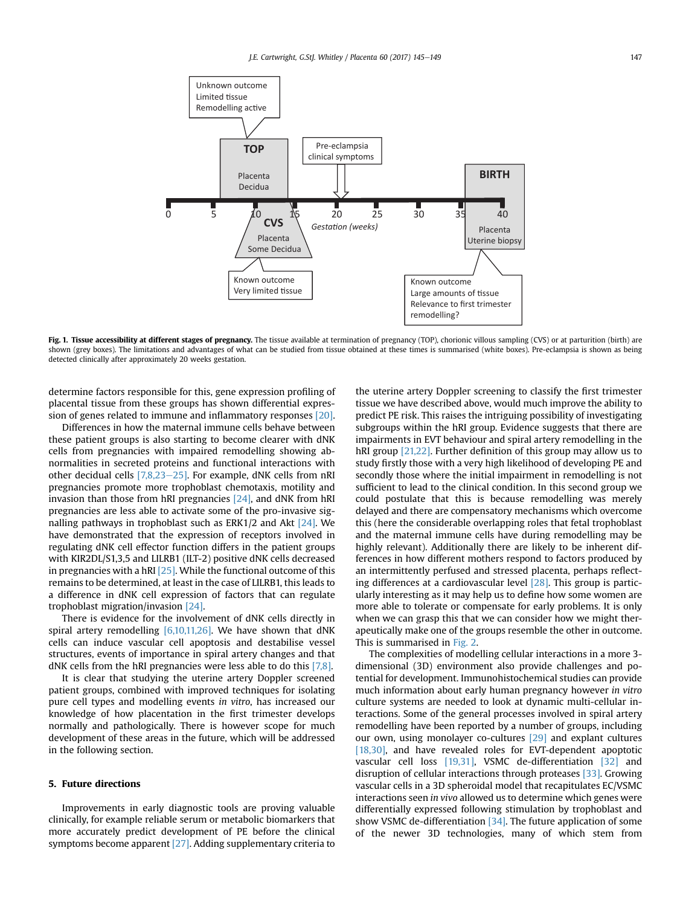<span id="page-2-0"></span>

Known outcome Large amounts of tissue Relevance to first trimester

remodelling?

Fig. 1. Tissue accessibility at different stages of pregnancy. The tissue available at termination of pregnancy (TOP), chorionic villous sampling (CVS) or at parturition (birth) are shown (grey boxes). The limitations and advantages of what can be studied from tissue obtained at these times is summarised (white boxes). Pre-eclampsia is shown as being detected clinically after approximately 20 weeks gestation.

Known outcome Very limited tissue

Limited Ɵssue

determine factors responsible for this, gene expression profiling of placental tissue from these groups has shown differential expression of genes related to immune and inflammatory responses [\[20\].](#page-3-0)

Differences in how the maternal immune cells behave between these patient groups is also starting to become clearer with dNK cells from pregnancies with impaired remodelling showing abnormalities in secreted proteins and functional interactions with other decidual cells  $[7,8,23-25]$  $[7,8,23-25]$ . For example, dNK cells from nRI pregnancies promote more trophoblast chemotaxis, motility and invasion than those from hRI pregnancies [\[24\],](#page-3-0) and dNK from hRI pregnancies are less able to activate some of the pro-invasive signalling pathways in trophoblast such as ERK1/2 and Akt [\[24\]](#page-3-0). We have demonstrated that the expression of receptors involved in regulating dNK cell effector function differs in the patient groups with KIR2DL/S1,3,5 and LILRB1 (ILT-2) positive dNK cells decreased in pregnancies with a hRI [\[25\].](#page-4-0) While the functional outcome of this remains to be determined, at least in the case of LILRB1, this leads to a difference in dNK cell expression of factors that can regulate trophoblast migration/invasion [\[24\].](#page-3-0)

There is evidence for the involvement of dNK cells directly in spiral artery remodelling [\[6,10,11,26\].](#page-3-0) We have shown that dNK cells can induce vascular cell apoptosis and destabilise vessel structures, events of importance in spiral artery changes and that dNK cells from the hRI pregnancies were less able to do this [\[7,8\]](#page-3-0).

It is clear that studying the uterine artery Doppler screened patient groups, combined with improved techniques for isolating pure cell types and modelling events in vitro, has increased our knowledge of how placentation in the first trimester develops normally and pathologically. There is however scope for much development of these areas in the future, which will be addressed in the following section.

#### 5. Future directions

Improvements in early diagnostic tools are proving valuable clinically, for example reliable serum or metabolic biomarkers that more accurately predict development of PE before the clinical symptoms become apparent [\[27\].](#page-4-0) Adding supplementary criteria to the uterine artery Doppler screening to classify the first trimester tissue we have described above, would much improve the ability to predict PE risk. This raises the intriguing possibility of investigating subgroups within the hRI group. Evidence suggests that there are impairments in EVT behaviour and spiral artery remodelling in the hRI group [\[21,22\]](#page-3-0). Further definition of this group may allow us to study firstly those with a very high likelihood of developing PE and secondly those where the initial impairment in remodelling is not sufficient to lead to the clinical condition. In this second group we could postulate that this is because remodelling was merely delayed and there are compensatory mechanisms which overcome this (here the considerable overlapping roles that fetal trophoblast and the maternal immune cells have during remodelling may be highly relevant). Additionally there are likely to be inherent differences in how different mothers respond to factors produced by an intermittently perfused and stressed placenta, perhaps reflecting differences at a cardiovascular level [\[28\]](#page-4-0). This group is particularly interesting as it may help us to define how some women are more able to tolerate or compensate for early problems. It is only when we can grasp this that we can consider how we might therapeutically make one of the groups resemble the other in outcome. This is summarised in [Fig. 2](#page-3-0).

The complexities of modelling cellular interactions in a more 3 dimensional (3D) environment also provide challenges and potential for development. Immunohistochemical studies can provide much information about early human pregnancy however in vitro culture systems are needed to look at dynamic multi-cellular interactions. Some of the general processes involved in spiral artery remodelling have been reported by a number of groups, including our own, using monolayer co-cultures [\[29\]](#page-4-0) and explant cultures [\[18,30\],](#page-3-0) and have revealed roles for EVT-dependent apoptotic vascular cell loss [\[19,31\]](#page-3-0), VSMC de-differentiation [\[32\]](#page-4-0) and disruption of cellular interactions through proteases [\[33\].](#page-4-0) Growing vascular cells in a 3D spheroidal model that recapitulates EC/VSMC interactions seen in vivo allowed us to determine which genes were differentially expressed following stimulation by trophoblast and show VSMC de-differentiation [\[34\].](#page-4-0) The future application of some of the newer 3D technologies, many of which stem from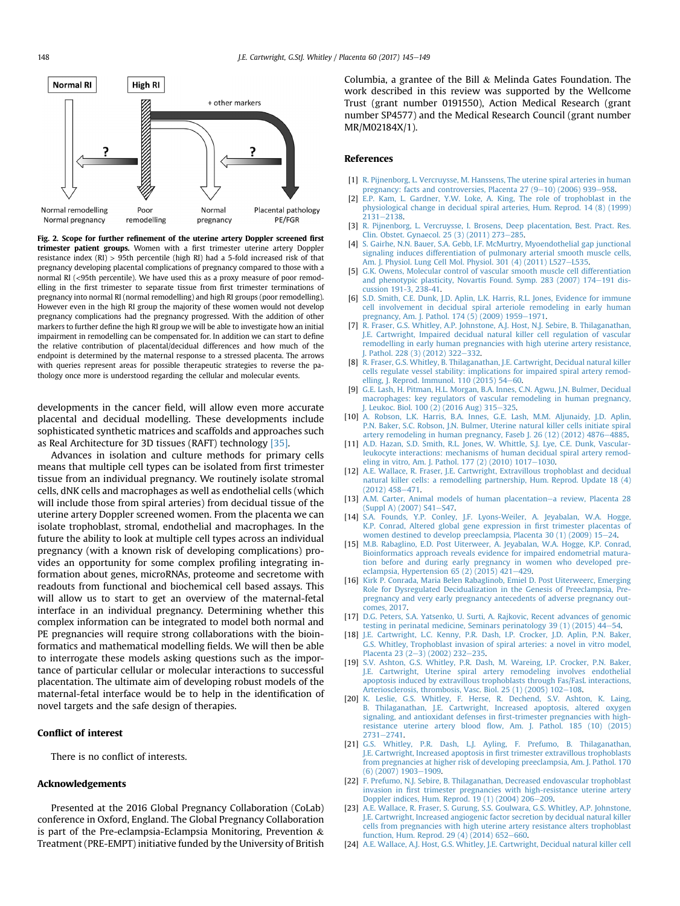<span id="page-3-0"></span>

Fig. 2. Scope for further refinement of the uterine artery Doppler screened first trimester patient groups. Women with a first trimester uterine artery Doppler resistance index (RI) > 95th percentile (high RI) had a 5-fold increased risk of that pregnancy developing placental complications of pregnancy compared to those with a normal RI (<95th percentile). We have used this as a proxy measure of poor remodelling in the first trimester to separate tissue from first trimester terminations of pregnancy into normal RI (normal remodelling) and high RI groups (poor remodelling). However even in the high RI group the majority of these women would not develop pregnancy complications had the pregnancy progressed. With the addition of other markers to further define the high RI group we will be able to investigate how an initial impairment in remodelling can be compensated for. In addition we can start to define the relative contribution of placental/decidual differences and how much of the endpoint is determined by the maternal response to a stressed placenta. The arrows with queries represent areas for possible therapeutic strategies to reverse the pathology once more is understood regarding the cellular and molecular events.

developments in the cancer field, will allow even more accurate placental and decidual modelling. These developments include sophisticated synthetic matrices and scaffolds and approaches such as Real Architecture for 3D tissues (RAFT) technology [\[35\]](#page-4-0).

Advances in isolation and culture methods for primary cells means that multiple cell types can be isolated from first trimester tissue from an individual pregnancy. We routinely isolate stromal cells, dNK cells and macrophages as well as endothelial cells (which will include those from spiral arteries) from decidual tissue of the uterine artery Doppler screened women. From the placenta we can isolate trophoblast, stromal, endothelial and macrophages. In the future the ability to look at multiple cell types across an individual pregnancy (with a known risk of developing complications) provides an opportunity for some complex profiling integrating information about genes, microRNAs, proteome and secretome with readouts from functional and biochemical cell based assays. This will allow us to start to get an overview of the maternal-fetal interface in an individual pregnancy. Determining whether this complex information can be integrated to model both normal and PE pregnancies will require strong collaborations with the bioinformatics and mathematical modelling fields. We will then be able to interrogate these models asking questions such as the importance of particular cellular or molecular interactions to successful placentation. The ultimate aim of developing robust models of the maternal-fetal interface would be to help in the identification of novel targets and the safe design of therapies.

### Conflict of interest

There is no conflict of interests.

#### Acknowledgements

Presented at the 2016 Global Pregnancy Collaboration (CoLab) conference in Oxford, England. The Global Pregnancy Collaboration is part of the Pre-eclampsia-Eclampsia Monitoring, Prevention & Treatment (PRE-EMPT) initiative funded by the University of British Columbia, a grantee of the Bill & Melinda Gates Foundation. The work described in this review was supported by the Wellcome Trust (grant number 0191550), Action Medical Research (grant number SP4577) and the Medical Research Council (grant number MR/M02184X/1).

#### References

- [1] [R. Pijnenborg, L. Vercruysse, M. Hanssens, The uterine spiral arteries in human](http://refhub.elsevier.com/S0143-4004(17)30259-X/sref1) [pregnancy: facts and controversies, Placenta 27 \(9](http://refhub.elsevier.com/S0143-4004(17)30259-X/sref1)-[10\) \(2006\) 939](http://refhub.elsevier.com/S0143-4004(17)30259-X/sref1)-[958.](http://refhub.elsevier.com/S0143-4004(17)30259-X/sref1)
- [2] [E.P. Kam, L. Gardner, Y.W. Loke, A. King, The role of trophoblast in the](http://refhub.elsevier.com/S0143-4004(17)30259-X/sref2) [physiological change in decidual spiral arteries, Hum. Reprod. 14 \(8\) \(1999\)](http://refhub.elsevier.com/S0143-4004(17)30259-X/sref2) [2131](http://refhub.elsevier.com/S0143-4004(17)30259-X/sref2)-[2138](http://refhub.elsevier.com/S0143-4004(17)30259-X/sref2)
- [3] [R. Pijnenborg, L. Vercruysse, I. Brosens, Deep placentation, Best. Pract. Res.](http://refhub.elsevier.com/S0143-4004(17)30259-X/sref3) [Clin. Obstet. Gynaecol. 25 \(3\) \(2011\) 273](http://refhub.elsevier.com/S0143-4004(17)30259-X/sref3)-285
- [4] [S. Gairhe, N.N. Bauer, S.A. Gebb, I.F. McMurtry, Myoendothelial gap junctional](http://refhub.elsevier.com/S0143-4004(17)30259-X/sref4) [signaling induces differentiation of pulmonary arterial smooth muscle cells,](http://refhub.elsevier.com/S0143-4004(17)30259-X/sref4) [Am. J. Physiol. Lung Cell Mol. Physiol. 301 \(4\) \(2011\) L527](http://refhub.elsevier.com/S0143-4004(17)30259-X/sref4)-[L535.](http://refhub.elsevier.com/S0143-4004(17)30259-X/sref4)
- [5] [G.K. Owens, Molecular control of vascular smooth muscle cell differentiation](http://refhub.elsevier.com/S0143-4004(17)30259-X/sref5) [and phenotypic plasticity, Novartis Found. Symp. 283 \(2007\) 174](http://refhub.elsevier.com/S0143-4004(17)30259-X/sref5)-[191 dis](http://refhub.elsevier.com/S0143-4004(17)30259-X/sref5)[cussion 191-3, 238-41.](http://refhub.elsevier.com/S0143-4004(17)30259-X/sref5)
- [6] [S.D. Smith, C.E. Dunk, J.D. Aplin, L.K. Harris, R.L. Jones, Evidence for immune](http://refhub.elsevier.com/S0143-4004(17)30259-X/sref6) [cell involvement in decidual spiral arteriole remodeling in early human](http://refhub.elsevier.com/S0143-4004(17)30259-X/sref6) [pregnancy, Am. J. Pathol. 174 \(5\) \(2009\) 1959](http://refhub.elsevier.com/S0143-4004(17)30259-X/sref6)-[1971.](http://refhub.elsevier.com/S0143-4004(17)30259-X/sref6)
- [7] [R. Fraser, G.S. Whitley, A.P. Johnstone, A.J. Host, N.J. Sebire, B. Thilaganathan,](http://refhub.elsevier.com/S0143-4004(17)30259-X/sref7) [J.E. Cartwright, Impaired decidual natural killer cell regulation of vascular](http://refhub.elsevier.com/S0143-4004(17)30259-X/sref7) [remodelling in early human pregnancies with high uterine artery resistance,](http://refhub.elsevier.com/S0143-4004(17)30259-X/sref7) [J. Pathol. 228 \(3\) \(2012\) 322](http://refhub.elsevier.com/S0143-4004(17)30259-X/sref7)-[332.](http://refhub.elsevier.com/S0143-4004(17)30259-X/sref7)
- [8] [R. Fraser, G.S. Whitley, B. Thilaganathan, J.E. Cartwright, Decidual natural killer](http://refhub.elsevier.com/S0143-4004(17)30259-X/sref8) [cells regulate vessel stability: implications for impaired spiral artery remod](http://refhub.elsevier.com/S0143-4004(17)30259-X/sref8)[elling, J. Reprod. Immunol. 110 \(2015\) 54](http://refhub.elsevier.com/S0143-4004(17)30259-X/sref8)-[60.](http://refhub.elsevier.com/S0143-4004(17)30259-X/sref8)
- [9] [G.E. Lash, H. Pitman, H.L. Morgan, B.A. Innes, C.N. Agwu, J.N. Bulmer, Decidual](http://refhub.elsevier.com/S0143-4004(17)30259-X/sref9) [macrophages: key regulators of vascular remodeling in human pregnancy,](http://refhub.elsevier.com/S0143-4004(17)30259-X/sref9) J. Leukoc. Biol.  $100(2)(2016 \text{ Aug})$  315-[325](http://refhub.elsevier.com/S0143-4004(17)30259-X/sref9).
- [10] [A. Robson, L.K. Harris, B.A. Innes, G.E. Lash, M.M. Aljunaidy, J.D. Aplin,](http://refhub.elsevier.com/S0143-4004(17)30259-X/sref10) [P.N. Baker, S.C. Robson, J.N. Bulmer, Uterine natural killer cells initiate spiral](http://refhub.elsevier.com/S0143-4004(17)30259-X/sref10) [artery remodeling in human pregnancy, Faseb J. 26 \(12\) \(2012\) 4876](http://refhub.elsevier.com/S0143-4004(17)30259-X/sref10)–[4885.](http://refhub.elsevier.com/S0143-4004(17)30259-X/sref10)<br>
[11] [A.D. Hazan, S.D. Smith, R.L. Jones, W. Whittle, S.J. Lye, C.E. Dunk, Vascular-](http://refhub.elsevier.com/S0143-4004(17)30259-X/sref11)
- [leukocyte interactions: mechanisms of human decidual spiral artery remod](http://refhub.elsevier.com/S0143-4004(17)30259-X/sref11)[eling in vitro, Am. J. Pathol. 177 \(2\) \(2010\) 1017](http://refhub.elsevier.com/S0143-4004(17)30259-X/sref11)-[1030](http://refhub.elsevier.com/S0143-4004(17)30259-X/sref11).
- [12] [A.E. Wallace, R. Fraser, J.E. Cartwright, Extravillous trophoblast and decidual](http://refhub.elsevier.com/S0143-4004(17)30259-X/sref12) [natural killer cells: a remodelling partnership, Hum. Reprod. Update 18 \(4\)](http://refhub.elsevier.com/S0143-4004(17)30259-X/sref12)  $(2012)$  458-[471](http://refhub.elsevier.com/S0143-4004(17)30259-X/sref12).
- [13] [A.M. Carter, Animal models of human placentation](http://refhub.elsevier.com/S0143-4004(17)30259-X/sref13)-[a review, Placenta 28](http://refhub.elsevier.com/S0143-4004(17)30259-X/sref13)  $(Suppl A)$  (2007) S41-[S47](http://refhub.elsevier.com/S0143-4004(17)30259-X/sref13).
- [14] [S.A. Founds, Y.P. Conley, J.F. Lyons-Weiler, A. Jeyabalan, W.A. Hogge,](http://refhub.elsevier.com/S0143-4004(17)30259-X/sref14) [K.P. Conrad, Altered global gene expression in](http://refhub.elsevier.com/S0143-4004(17)30259-X/sref14) first trimester placentas of women destined to develop preeclampsia. Placenta 30 (1) (2009) 15–[24.](http://refhub.elsevier.com/S0143-4004(17)30259-X/sref14)
- [15] [M.B. Rabaglino, E.D. Post Uiterweer, A. Jeyabalan, W.A. Hogge, K.P. Conrad,](http://refhub.elsevier.com/S0143-4004(17)30259-X/sref15) [Bioinformatics approach reveals evidence for impaired endometrial matura](http://refhub.elsevier.com/S0143-4004(17)30259-X/sref15)tion before and during early pregnancy in women who developed pre-<br>[eclampsia, Hypertension 65 \(2\) \(2015\) 421](http://refhub.elsevier.com/S0143-4004(17)30259-X/sref15)–[429.](http://refhub.elsevier.com/S0143-4004(17)30259-X/sref15)
- [16] [Kirk P. Conrada, Maria Belen Rabaglinob, Emiel D. Post Uiterweerc, Emerging](http://refhub.elsevier.com/S0143-4004(17)30259-X/sref16) [Role for Dysregulated Decidualization in the Genesis of Preeclampsia, Pre](http://refhub.elsevier.com/S0143-4004(17)30259-X/sref16)[pregnancy and very early pregnancy antecedents of adverse pregnancy out](http://refhub.elsevier.com/S0143-4004(17)30259-X/sref16)[comes, 2017](http://refhub.elsevier.com/S0143-4004(17)30259-X/sref16).
- [17] [D.G. Peters, S.A. Yatsenko, U. Surti, A. Rajkovic, Recent advances of genomic](http://refhub.elsevier.com/S0143-4004(17)30259-X/sref17) [testing in perinatal medicine, Seminars perinatology 39 \(1\) \(2015\) 44](http://refhub.elsevier.com/S0143-4004(17)30259-X/sref17)-[54.](http://refhub.elsevier.com/S0143-4004(17)30259-X/sref17)
- [18] [J.E. Cartwright, L.C. Kenny, P.R. Dash, I.P. Crocker, J.D. Aplin, P.N. Baker,](http://refhub.elsevier.com/S0143-4004(17)30259-X/sref18) [G.S. Whitley, Trophoblast invasion of spiral arteries: a novel in vitro model,](http://refhub.elsevier.com/S0143-4004(17)30259-X/sref18) Placenta 23  $(2-3)$   $(2002)$  232-[235](http://refhub.elsevier.com/S0143-4004(17)30259-X/sref18).
- [19] [S.V. Ashton, G.S. Whitley, P.R. Dash, M. Wareing, I.P. Crocker, P.N. Baker,](http://refhub.elsevier.com/S0143-4004(17)30259-X/sref19) [J.E. Cartwright, Uterine spiral artery remodeling involves endothelial](http://refhub.elsevier.com/S0143-4004(17)30259-X/sref19) [apoptosis induced by extravillous trophoblasts through Fas/FasL interactions,](http://refhub.elsevier.com/S0143-4004(17)30259-X/sref19) Arteriosclerosis, thrombosis, Vasc. Biol.  $25(1)(2005)$   $102-108$ .
- [20] [K. Leslie, G.S. Whitley, F. Herse, R. Dechend, S.V. Ashton, K. Laing,](http://refhub.elsevier.com/S0143-4004(17)30259-X/sref20) [B. Thilaganathan, J.E. Cartwright, Increased apoptosis, altered oxygen](http://refhub.elsevier.com/S0143-4004(17)30259-X/sref20) [signaling, and antioxidant defenses in](http://refhub.elsevier.com/S0143-4004(17)30259-X/sref20) first-trimester pregnancies with highresistance uterine artery blood fl[ow, Am. J. Pathol. 185 \(10\) \(2015\)](http://refhub.elsevier.com/S0143-4004(17)30259-X/sref20)  $2731 - 2741$  $2731 - 2741$  $2731 - 2741$ .
- [21] [G.S. Whitley, P.R. Dash, L.J. Ayling, F. Prefumo, B. Thilaganathan,](http://refhub.elsevier.com/S0143-4004(17)30259-X/sref21) J.E. Cartwright, Increased apoptosis in fi[rst trimester extravillous trophoblasts](http://refhub.elsevier.com/S0143-4004(17)30259-X/sref21) [from pregnancies at higher risk of developing preeclampsia, Am. J. Pathol. 170](http://refhub.elsevier.com/S0143-4004(17)30259-X/sref21)  $(6)$  (2007) 1903-[1909](http://refhub.elsevier.com/S0143-4004(17)30259-X/sref21).
- [22] [F. Prefumo, N.J. Sebire, B. Thilaganathan, Decreased endovascular trophoblast](http://refhub.elsevier.com/S0143-4004(17)30259-X/sref22) invasion in fi[rst trimester pregnancies with high-resistance uterine artery](http://refhub.elsevier.com/S0143-4004(17)30259-X/sref22) [Doppler indices, Hum. Reprod. 19 \(1\) \(2004\) 206](http://refhub.elsevier.com/S0143-4004(17)30259-X/sref22)-[209](http://refhub.elsevier.com/S0143-4004(17)30259-X/sref22).
- [23] [A.E. Wallace, R. Fraser, S. Gurung, S.S. Goulwara, G.S. Whitley, A.P. Johnstone,](http://refhub.elsevier.com/S0143-4004(17)30259-X/sref23) [J.E. Cartwright, Increased angiogenic factor secretion by decidual natural killer](http://refhub.elsevier.com/S0143-4004(17)30259-X/sref23) [cells from pregnancies with high uterine artery resistance alters trophoblast](http://refhub.elsevier.com/S0143-4004(17)30259-X/sref23) [function, Hum. Reprod. 29 \(4\) \(2014\) 652](http://refhub.elsevier.com/S0143-4004(17)30259-X/sref23)-[660.](http://refhub.elsevier.com/S0143-4004(17)30259-X/sref23)
- [24] [A.E. Wallace, A.J. Host, G.S. Whitley, J.E. Cartwright, Decidual natural killer cell](http://refhub.elsevier.com/S0143-4004(17)30259-X/sref24)